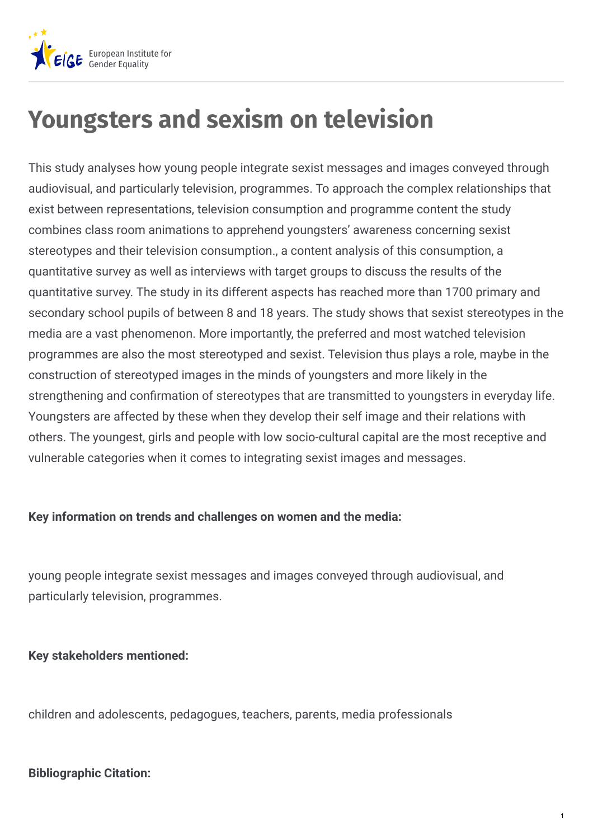

# **Youngsters and sexism on television**

This study analyses how young people integrate sexist messages and images conveyed through audiovisual, and particularly television, programmes. To approach the complex relationships that exist between representations, television consumption and programme content the study combines class room animations to apprehend youngsters' awareness concerning sexist stereotypes and their television consumption., a content analysis of this consumption, a quantitative survey as well as interviews with target groups to discuss the results of the quantitative survey. The study in its different aspects has reached more than 1700 primary and secondary school pupils of between 8 and 18 years. The study shows that sexist stereotypes in the media are a vast phenomenon. More importantly, the preferred and most watched television programmes are also the most stereotyped and sexist. Television thus plays a role, maybe in the construction of stereotyped images in the minds of youngsters and more likely in the strengthening and confirmation of stereotypes that are transmitted to youngsters in everyday life. Youngsters are affected by these when they develop their self image and their relations with others. The youngest, girls and people with low socio-cultural capital are the most receptive and vulnerable categories when it comes to integrating sexist images and messages.

#### **Key information on trends and challenges on women and the media:**

young people integrate sexist messages and images conveyed through audiovisual, and particularly television, programmes.

#### **Key stakeholders mentioned:**

children and adolescents, pedagogues, teachers, parents, media professionals

#### **Bibliographic Citation:**